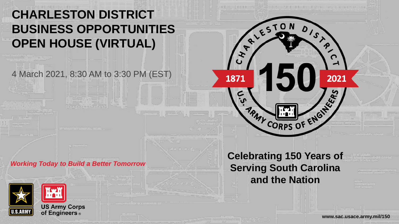### **CHARLESTON DISTRICT BUSINESS OPPORTUNITIES OPEN HOUSE (VIRTUAL)**

4 March 2021, 8:30 AM to 3:30 PM (EST)

#### *Working Today to Build a Better Tomorrow*



**Celebrating 150 Years of Serving South Carolina and the Nation**

TRAY CORPS OF ENGINEER

01518

2021

 $\sqrt{\frac{x^{k}}{k^{k}}\sqrt{\frac{2570N}{k^{k}}}}$ 

1871

 $\frac{5}{2}$ 

**www.sac.usace.army.mil/150**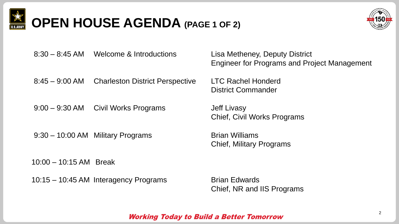

# **OPEN HOUSE AGENDA (PAGE 1 OF 2)**



8:30 – 8:45 AM Welcome & Introductions Lisa Metheney, Deputy District

8:45 – 9:00 AM Charleston District Perspective LTC Rachel Honderd

9:00 – 9:30 AM Civil Works Programs Jeff Livasy

9:30 – 10:00 AM Military Programs **Brian Williams** 

10:00 – 10:15 AM Break

10:15 – 10:45 AM Interagency Programs Brian Edwards

Engineer for Programs and Project Management

District Commander

Chief, Civil Works Programs

Chief, Military Programs

Chief, NR and IIS Programs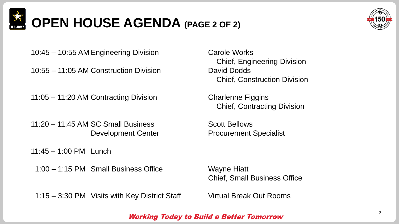

# **OPEN HOUSE AGENDA (PAGE 2 OF 2)**



10:45 – 10:55 AM Engineering Division Carole Works

10:55 – 11:05 AM Construction Division Divident David Dodds

11:05 – 11:20 AM Contracting Division Charlenne Figgins

11:20 – 11:45 AM SC Small Business Scott Bellows

11:45 – 1:00 PM Lunch

1:00 – 1:15 PM Small Business Office Wayne Hiatt

1:15 – 3:30 PM Visits with Key District Staff Virtual Break Out Rooms

Chief, Engineering Division Chief, Construction Division

Chief, Contracting Division

Development Center **Procurement Specialist** 

Chief, Small Business Office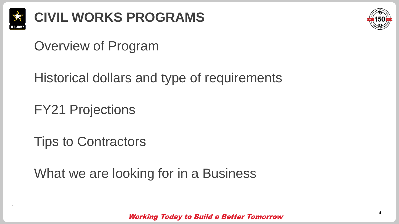



## Overview of Program

Historical dollars and type of requirements

FY21 Projections

Tips to Contractors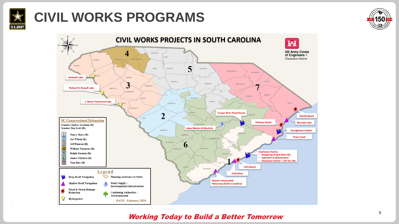

## **CIVIL WORKS PROGRAMS**



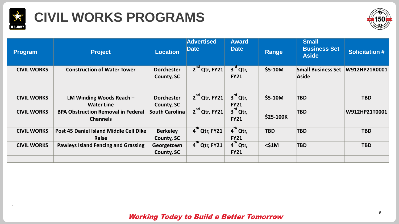

## **CIVIL WORKS PROGRAMS**



| <b>Program</b>     | <b>Project</b>                                               | <b>Location</b>                      | <b>Advertised</b><br>Date | <b>Award</b><br><b>Date</b> | Range            | <b>Small</b><br><b>Business Set</b><br><b>Aside</b> | <b>Solicitation #</b> |
|--------------------|--------------------------------------------------------------|--------------------------------------|---------------------------|-----------------------------|------------------|-----------------------------------------------------|-----------------------|
| <b>CIVIL WORKS</b> | <b>Construction of Water Tower</b>                           | <b>Dorchester</b><br>County, SC      | $2nd$ Qtr, FY21           | $3rd$ Qtr,<br><b>FY21</b>   | \$5-10M          | <b>Small Business Set</b><br><b>Aside</b>           | W912HP21R0001         |
| <b>CIVIL WORKS</b> | LM Winding Woods Reach $-$<br><b>Water Line</b>              | <b>Dorchester</b><br>County, SC      | $2nd$ Qtr, FY21           | $3rd$ Qtr,<br><b>FY21</b>   | $$5-10M$         | <b>TBD</b>                                          | <b>TBD</b>            |
| <b>CIVIL WORKS</b> | <b>BPA Obstruction Removal in Federal</b><br><b>Channels</b> | <b>South Carolina</b>                | $2nd$ Qtr, FY21           | $3rd$ Qtr,<br><b>FY21</b>   | <b>\$25-100K</b> | <b>TBD</b>                                          | W912HP21T0001         |
| <b>CIVIL WORKS</b> | Post 45 Daniel Island Middle Cell Dike<br>Raise              | <b>Berkeley</b><br><b>County, SC</b> | 4 <sup>th</sup> Qtr, FY21 | $4th$ Qtr,<br><b>FY21</b>   | <b>TBD</b>       | <b>TBD</b>                                          | <b>TBD</b>            |
| <b>CIVIL WORKS</b> | <b>Pawleys Island Fencing and Grassing</b>                   | Georgetown<br><b>County, SC</b>      | $4^{\text{th}}$ Qtr, FY21 | $4th$ Qtr,<br><b>FY21</b>   | $<$ \$1M         | <b>TBD</b>                                          | <b>TBD</b>            |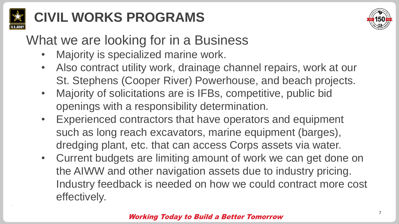

## **CIVIL WORKS PROGRAMS**



## What we are looking for in a Business

- Majority is specialized marine work.
- Also contract utility work, drainage channel repairs, work at our St. Stephens (Cooper River) Powerhouse, and beach projects.
- Majority of solicitations are is IFBs, competitive, public bid openings with a responsibility determination.
- Experienced contractors that have operators and equipment such as long reach excavators, marine equipment (barges), dredging plant, etc. that can access Corps assets via water.
- Current budgets are limiting amount of work we can get done on the AIWW and other navigation assets due to industry pricing. Industry feedback is needed on how we could contract more cost effectively.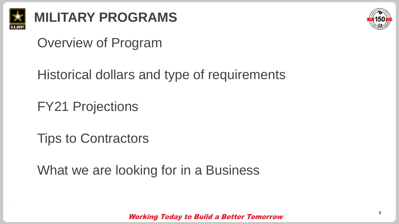

# **MILITARY PROGRAMS**



## Overview of Program

Historical dollars and type of requirements

FY21 Projections

Tips to Contractors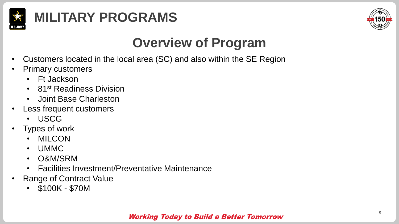



## **Overview of Program**

- Customers located in the local area (SC) and also within the SE Region
- Primary customers
	- Ft Jackson
	- 81<sup>st</sup> Readiness Division
	- Joint Base Charleston
- Less frequent customers
	- USCG
- Types of work
	- MILCON
	- UMMC
	- O&M/SRM
	- Facilities Investment/Preventative Maintenance
- **Range of Contract Value** 
	- \$100K \$70M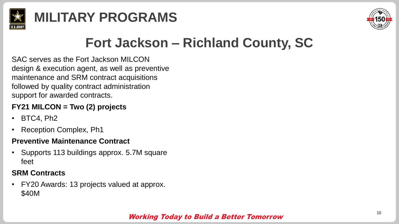



## **Fort Jackson – Richland County, SC**

SAC serves as the Fort Jackson MILCON design & execution agent, as well as preventive maintenance and SRM contract acquisitions followed by quality contract administration support for awarded contracts.

### **FY21 MILCON = Two (2) projects**

- BTC4, Ph2
- Reception Complex, Ph1

#### **Preventive Maintenance Contract**

• Supports 113 buildings approx. 5.7M square feet

### **SRM Contracts**

• FY20 Awards: 13 projects valued at approx. \$40M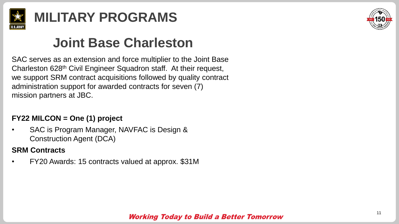

## **Joint Base Charleston**

SAC serves as an extension and force multiplier to the Joint Base Charleston 628th Civil Engineer Squadron staff. At their request, we support SRM contract acquisitions followed by quality contract administration support for awarded contracts for seven (7) mission partners at JBC.

### **FY22 MILCON = One (1) project**

• SAC is Program Manager, NAVFAC is Design & Construction Agent (DCA)

### **SRM Contracts**

• FY20 Awards: 15 contracts valued at approx. \$31M

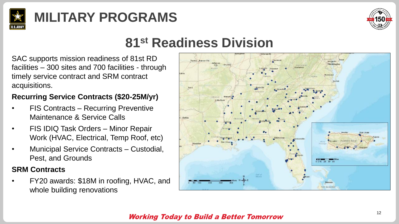



### **81st Readiness Division**

SAC supports mission readiness of 81st RD facilities – 300 sites and 700 facilities - through timely service contract and SRM contract acquisitions.

### **Recurring Service Contracts (\$20-25M/yr)**

- FIS Contracts Recurring Preventive Maintenance & Service Calls
- FIS IDIQ Task Orders Minor Repair Work (HVAC, Electrical, Temp Roof, etc)
- Municipal Service Contracts Custodial, Pest, and Grounds

### **SRM Contracts**

• FY20 awards: \$18M in roofing, HVAC, and whole building renovations

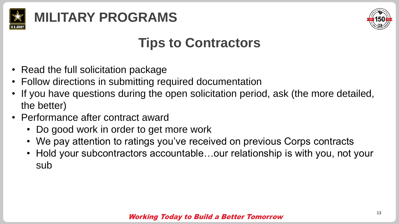



## **Tips to Contractors**

- Read the full solicitation package
- Follow directions in submitting required documentation
- If you have questions during the open solicitation period, ask (the more detailed, the better)
- Performance after contract award
	- Do good work in order to get more work
	- We pay attention to ratings you've received on previous Corps contracts
	- Hold your subcontractors accountable...our relationship is with you, not your sub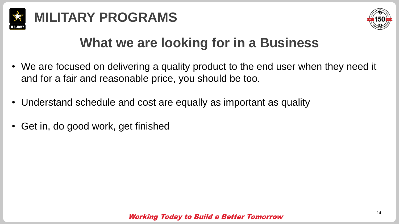



- We are focused on delivering a quality product to the end user when they need it and for a fair and reasonable price, you should be too.
- Understand schedule and cost are equally as important as quality
- Get in, do good work, get finished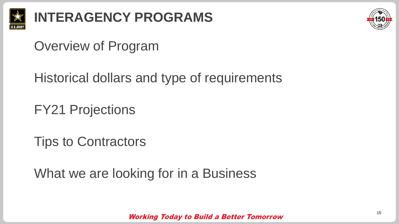



## Overview of Program

Historical dollars and type of requirements

FY21 Projections

Tips to Contractors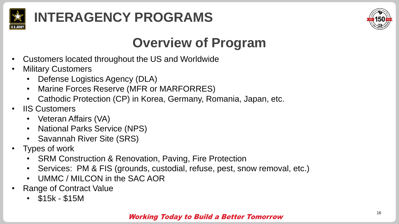



## **Overview of Program**

- Customers located throughout the US and Worldwide
- **Military Customers** 
	- Defense Logistics Agency (DLA)
	- Marine Forces Reserve (MFR or MARFORRES)
	- Cathodic Protection (CP) in Korea, Germany, Romania, Japan, etc.
- **IIS Customers** 
	- Veteran Affairs (VA)
	- National Parks Service (NPS)
	- Savannah River Site (SRS)
- Types of work
	- SRM Construction & Renovation, Paving, Fire Protection
	- Services: PM & FIS (grounds, custodial, refuse, pest, snow removal, etc.)
	- UMMC / MILCON in the SAC AOR
- **Range of Contract Value** 
	- \$15k \$15M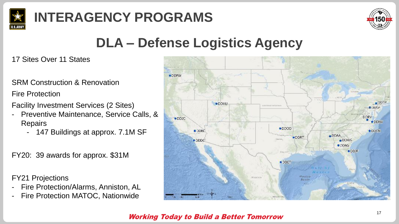



## **DLA – Defense Logistics Agency**

17 Sites Over 11 States

SRM Construction & Renovation

Fire Protection

Facility Investment Services (2 Sites)

- Preventive Maintenance, Service Calls, & **Repairs** 
	- 147 Buildings at approx. 7.1M SF

FY20: 39 awards for approx. \$31M

FY21 Projections

- Fire Protection/Alarms, Anniston, AL
- Fire Protection MATOC, Nationwide

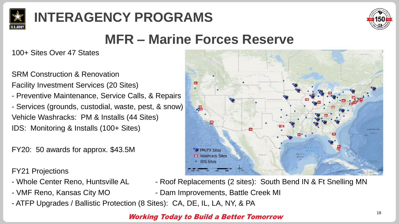



## **MFR – Marine Forces Reserve**

100+ Sites Over 47 States

SRM Construction & Renovation

Facility Investment Services (20 Sites)

- Preventive Maintenance, Service Calls, & Repairs - Services (grounds, custodial, waste, pest, & snow) Vehicle Washracks: PM & Installs (44 Sites) IDS: Monitoring & Installs (100+ Sites)

FY20: 50 awards for approx. \$43.5M

FY21 Projections

- 
- 
- ATFP Upgrades / Ballistic Protection (8 Sites): CA, DE, IL, LA, NY, & PA



- Whole Center Reno, Huntsville AL Roof Replacements (2 sites): South Bend IN & Ft Snelling MN
- VMF Reno, Kansas City MO Dam Improvements, Battle Creek MI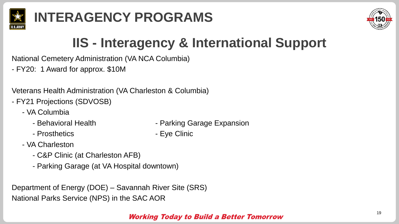



# **IIS - Interagency & International Support**

National Cemetery Administration (VA NCA Columbia)

- FY20: 1 Award for approx. \$10M

Veterans Health Administration (VA Charleston & Columbia)

- FY21 Projections (SDVOSB)
	- VA Columbia
		- Behavioral Health Parking Garage Expansion
		- Prosthetics  **Eye Clinic**
- 

- VA Charleston
	- C&P Clinic (at Charleston AFB)
	- Parking Garage (at VA Hospital downtown)

Department of Energy (DOE) – Savannah River Site (SRS) National Parks Service (NPS) in the SAC AOR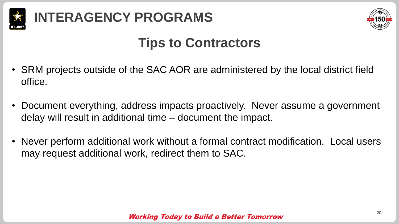



## **Tips to Contractors**

- SRM projects outside of the SAC AOR are administered by the local district field office.
- Document everything, address impacts proactively. Never assume a government delay will result in additional time – document the impact.
- Never perform additional work without a formal contract modification. Local users may request additional work, redirect them to SAC.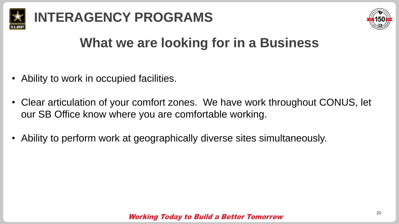



- Ability to work in occupied facilities.
- Clear articulation of your comfort zones. We have work throughout CONUS, let our SB Office know where you are comfortable working.
- Ability to perform work at geographically diverse sites simultaneously.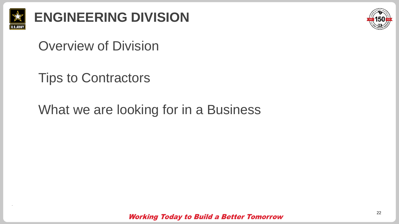

**ENGINEERING DIVISION** 



### Overview of Division

## Tips to Contractors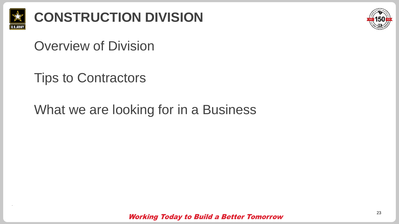

**CONSTRUCTION DIVISION**



## Overview of Division

## Tips to Contractors

## What we are looking for in a Business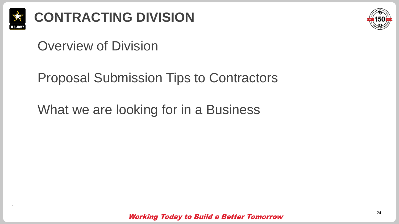

# **CONTRACTING DIVISION**



### Overview of Division

### Proposal Submission Tips to Contractors